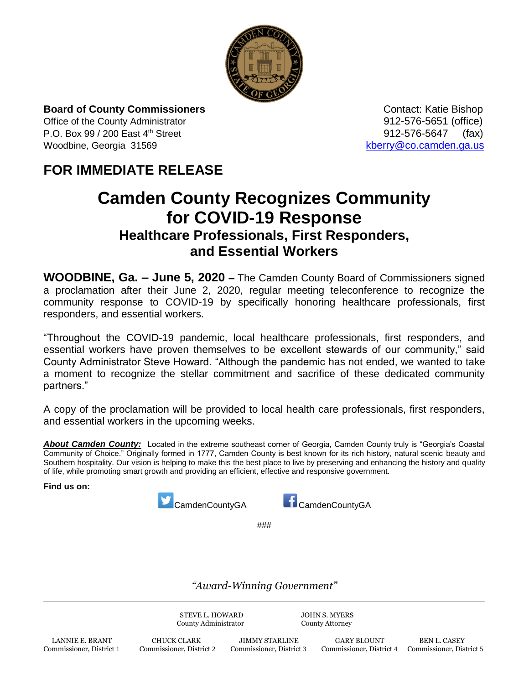

**Board of County Commissioners Contact: Katie Bishop** Contact: Katie Bishop

Office of the County Administrator 912-576-5651 (office) P.O. Box 99 / 200 East 4<sup>th</sup> Street 912-576-5647 (fax) Woodbine, Georgia 31569 [kberry@co.camden.ga.us](mailto:kberry@co.camden.ga.us)

## **FOR IMMEDIATE RELEASE**

## **Camden County Recognizes Community for COVID-19 Response Healthcare Professionals, First Responders, and Essential Workers**

**WOODBINE, Ga. – June 5, 2020 –** The Camden County Board of Commissioners signed a proclamation after their June 2, 2020, regular meeting teleconference to recognize the community response to COVID-19 by specifically honoring healthcare professionals, first responders, and essential workers.

"Throughout the COVID-19 pandemic, local healthcare professionals, first responders, and essential workers have proven themselves to be excellent stewards of our community," said County Administrator Steve Howard. "Although the pandemic has not ended, we wanted to take a moment to recognize the stellar commitment and sacrifice of these dedicated community partners."

A copy of the proclamation will be provided to local health care professionals, first responders, and essential workers in the upcoming weeks.

About Camden County: Located in the extreme southeast corner of Georgia, Camden County truly is "Georgia's Coastal Community of Choice." Originally formed in 1777, Camden County is best known for its rich history, natural scenic beauty and Southern hospitality. Our vision is helping to make this the best place to live by preserving and enhancing the history and quality of life, while promoting smart growth and providing an efficient, effective and responsive government.

**Find us on:**





###

*"Award-Winning Government"*

STEVE L. HOWARD JOHN S. MYERS County Administrator County Attorney

LANNIE E. BRANT CHUCK CLARK JIMMY STARLINE GARY BLOUNT BEN L. CASEY Commissioner, District 1 Commissioner, District 2 Commissioner, District 3 Commissioner, District 4 Commissioner, District 1

Commissioner, District 4 Commissioner, District 5